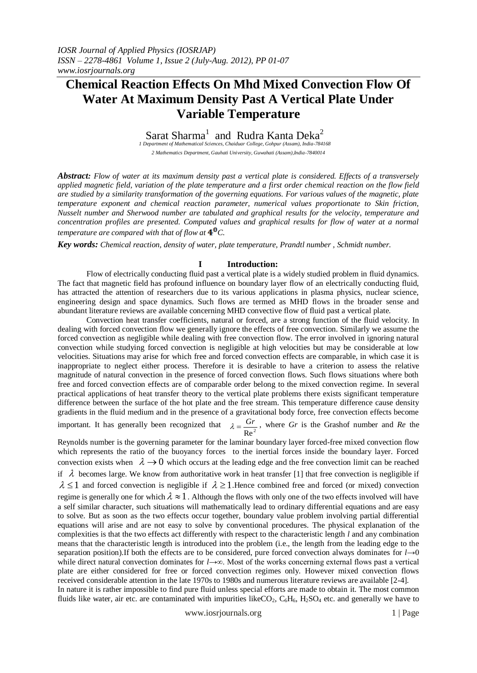# **Chemical Reaction Effects On Mhd Mixed Convection Flow Of Water At Maximum Density Past A Vertical Plate Under Variable Temperature**

Sarat Sharma<sup>1</sup> and Rudra Kanta Deka<sup>2</sup>

*1 Department of Mathematical Sciences, Chaiduar College, Gohpur (Assam), India-784168 2 Mathematics Department, Gauhati University, Guwahati (Assam),India-7840014*

*Abstract: Flow of water at its maximum density past a vertical plate is considered. Effects of a transversely applied magnetic field, variation of the plate temperature and a first order chemical reaction on the flow field are studied by a similarity transformation of the governing equations. For various values of the magnetic, plate temperature exponent and chemical reaction parameter, numerical values proportionate to Skin friction, Nusselt number and Sherwood number are tabulated and graphical results for the velocity, temperature and concentration profiles are presented. Computed values and graphical results for flow of water at a normal temperature are compared with that of flow at*  $4^0C$ .

*Key words: Chemical reaction, density of water, plate temperature, Prandtl number , Schmidt number.*

## **I Introduction:**

Flow of electrically conducting fluid past a vertical plate is a widely studied problem in fluid dynamics. The fact that magnetic field has profound influence on boundary layer flow of an electrically conducting fluid, has attracted the attention of researchers due to its various applications in plasma physics, nuclear science, engineering design and space dynamics. Such flows are termed as MHD flows in the broader sense and abundant literature reviews are available concerning MHD convective flow of fluid past a vertical plate.

Convection heat transfer coefficients, natural or forced, are a strong function of the fluid velocity. In dealing with forced convection flow we generally ignore the effects of free convection. Similarly we assume the forced convection as negligible while dealing with free convection flow. The error involved in ignoring natural convection while studying forced convection is negligible at high velocities but may be considerable at low velocities. Situations may arise for which free and forced convection effects are comparable, in which case it is inappropriate to neglect either process. Therefore it is desirable to have a criterion to assess the relative magnitude of natural convection in the presence of forced convection flows. Such flows situations where both free and forced convection effects are of comparable order belong to the mixed convection regime. In several practical applications of heat transfer theory to the vertical plate problems there exists significant temperature difference between the surface of the hot plate and the free stream. This temperature difference cause density gradients in the fluid medium and in the presence of a gravitational body force, free convection effects become

important. It has generally been recognized that  $Re<sup>2</sup>$  $\lambda = \frac{Gr}{\lambda}$ , where *Gr* is the Grashof number and *Re* the

Reynolds number is the governing parameter for the laminar boundary layer forced-free mixed convection flow which represents the ratio of the buoyancy forces to the inertial forces inside the boundary layer. Forced convection exists when  $\lambda \to 0$  which occurs at the leading edge and the free convection limit can be reached if  $\lambda$  becomes large. We know from authoritative work in heat transfer [1] that free convection is negligible if  $\lambda \leq 1$  and forced convection is negligible if  $\lambda \geq 1$ . Hence combined free and forced (or mixed) convection regime is generally one for which  $\lambda \approx 1$ . Although the flows with only one of the two effects involved will have a self similar character, such situations will mathematically lead to ordinary differential equations and are easy to solve. But as soon as the two effects occur together, boundary value problem involving partial differential equations will arise and are not easy to solve by conventional procedures. The physical explanation of the complexities is that the two effects act differently with respect to the characteristic length *l* and any combination means that the characteristic length is introduced into the problem (i.e., the length from the leading edge to the separation position).If both the effects are to be considered, pure forced convection always dominates for *l*→0 while direct natural convection dominates for *l*→∞. Most of the works concerning external flows past a vertical plate are either considered for free or forced convection regimes only. However mixed convection flows received considerable attention in the late 1970s to 1980s and numerous literature reviews are available [2-4]. In nature it is rather impossible to find pure fluid unless special efforts are made to obtain it. The most common fluids like water, air etc. are contaminated with impurities likeCO<sub>2</sub>,  $C_6H_6$ ,  $H_2SO_4$  etc. and generally we have to

www.iosrjournals.org 1 | Page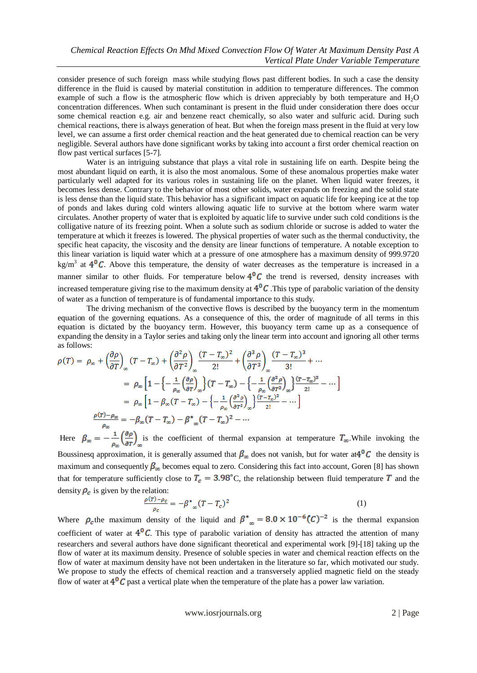consider presence of such foreign mass while studying flows past different bodies. In such a case the density difference in the fluid is caused by material constitution in addition to temperature differences. The common example of such a flow is the atmospheric flow which is driven appreciably by both temperature and  $H_2O$ concentration differences. When such contaminant is present in the fluid under consideration there does occur some chemical reaction e.g. air and benzene react chemically, so also water and sulfuric acid. During such chemical reactions, there is always generation of heat. But when the foreign mass present in the fluid at very low level, we can assume a first order chemical reaction and the heat generated due to chemical reaction can be very negligible. Several authors have done significant works by taking into account a first order chemical reaction on flow past vertical surfaces [5-7].

Water is an intriguing substance that plays a vital role in sustaining life on earth. Despite being the most abundant liquid on earth, it is also the most anomalous. Some of these anomalous properties make water particularly well adapted for its various roles in sustaining life on the planet. When liquid water freezes, it becomes less dense. Contrary to the behavior of most other solids, water expands on freezing and the solid state is less dense than the liquid state. This behavior has a significant impact on aquatic life for keeping ice at the top of ponds and lakes during cold winters allowing aquatic life to survive at the bottom where warm water circulates. Another property of water that is exploited by aquatic life to survive under such cold conditions is the colligative nature of its freezing point. When a solute such as sodium chloride or sucrose is added to water the temperature at which it freezes is lowered. The physical properties of water such as the thermal conductivity, the specific heat capacity, the viscosity and the density are linear functions of temperature. A notable exception to this linear variation is liquid water which at a pressure of one atmosphere has a maximum density of 999.9720 kg/m<sup>3</sup> at  $4^{\circ}$ C. Above this temperature, the density of water decreases as the temperature is increased in a manner similar to other fluids. For temperature below  $4^{\circ}C$  the trend is reversed, density increases with increased temperature giving rise to the maximum density at  $4^{\circ}C$ . This type of parabolic variation of the density of water as a function of temperature is of fundamental importance to this study.

The driving mechanism of the convective flows is described by the buoyancy term in the momentum equation of the governing equations. As a consequence of this, the order of magnitude of all terms in this equation is dictated by the buoyancy term. However, this buoyancy term came up as a consequence of expanding the density in a Taylor series and taking only the linear term into account and ignoring all other terms as follows:

$$
\rho(T) = \rho_{\infty} + \left(\frac{\partial \rho}{\partial T}\right)_{\infty} (T - T_{\infty}) + \left(\frac{\partial^2 \rho}{\partial T^2}\right)_{\infty} \frac{(T - T_{\infty})^2}{2!} + \left(\frac{\partial^3 \rho}{\partial T^3}\right)_{\infty} \frac{(T - T_{\infty})^3}{3!} + \cdots
$$

$$
= \rho_{\infty} \left[1 - \left\{-\frac{1}{\rho_{\infty}} \left(\frac{\partial \rho}{\partial T}\right)_{\infty}\right\} (T - T_{\infty}) - \left\{-\frac{1}{\rho_{\infty}} \left(\frac{\partial^2 \rho}{\partial T^2}\right)_{\infty}\right\} \frac{(T - T_{\infty})^2}{2!} - \cdots\right]
$$

$$
= \rho_{\infty} \left[1 - \beta_{\infty} (T - T_{\infty}) - \left\{-\frac{1}{\rho_{\infty}} \left(\frac{\partial^2 \rho}{\partial T^2}\right)_{\infty}\right\} \frac{(T - T_{\infty})^2}{2!} - \cdots\right]
$$

$$
\frac{\rho(T) - \rho_{\infty}}{\rho_{\infty}} = -\beta_{\infty} (T - T_{\infty}) - \beta_{\infty} (T - T_{\infty})^2 - \cdots
$$

Here  $\beta_{\infty} = -\frac{1}{\rho_{\infty}} \left( \frac{\partial \rho}{\partial T} \right)_{\infty}$  is the coefficient of thermal expansion at temperature  $T_{\infty}$ . While invoking the Boussinesq approximation, it is generally assumed that  $\beta_{\infty}$  does not vanish, but for water at  $4^{\circ}C$  the density is maximum and consequently  $\beta_{\infty}$  becomes equal to zero. Considering this fact into account, Goren [8] has shown that for temperature sufficiently close to  $T_c = 3.98^{\circ}$ C, the relationship between fluid temperature T and the density  $\rho_c$  is given by the relation:

$$
\frac{\rho(r) - \rho_c}{\rho_c} = -\beta^*_{\infty} (T - T_c)^2 \tag{1}
$$

Where  $\rho_c$  the maximum density of the liquid and  $\beta_{\text{me}} = 8.0 \times 10^{-6} (C)^{-2}$  is the thermal expansion coefficient of water at  $4^{0}C$ . This type of parabolic variation of density has attracted the attention of many researchers and several authors have done significant theoretical and experimental work [9]-[18] taking up the flow of water at its maximum density. Presence of soluble species in water and chemical reaction effects on the flow of water at maximum density have not been undertaken in the literature so far, which motivated our study. We propose to study the effects of chemical reaction and a transversely applied magnetic field on the steady flow of water at  $4^{\circ}C$  past a vertical plate when the temperature of the plate has a power law variation.

www.iosrjournals.org 2 | Page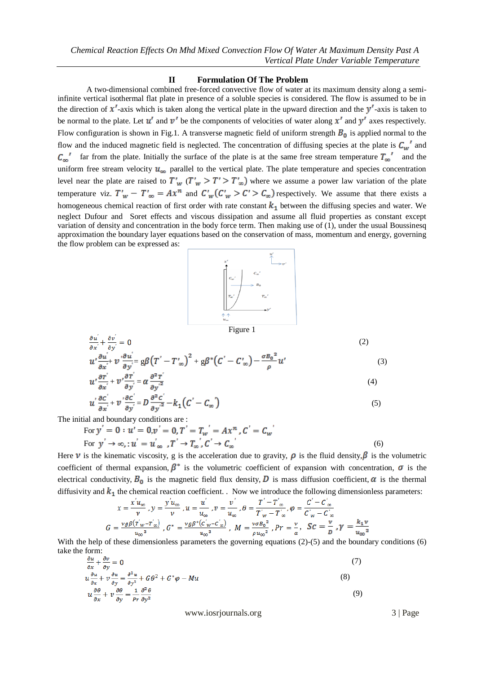### **II Formulation Of The Problem**

A two-dimensional combined free-forced convective flow of water at its maximum density along a semiinfinite vertical isothermal flat plate in presence of a soluble species is considered. The flow is assumed to be in the direction of  $x'$ -axis which is taken along the vertical plate in the upward direction and the  $y'$ -axis is taken to be normal to the plate. Let  $u'$  and  $v'$  be the components of velocities of water along  $x'$  and  $y'$  axes respectively. Flow configuration is shown in Fig.1. A transverse magnetic field of uniform strength  $B_0$  is applied normal to the flow and the induced magnetic field is neglected. The concentration of diffusing species at the plate is  $C_w$  and  $\overline{C_{\infty}}'$  far from the plate. Initially the surface of the plate is at the same free stream temperature  $T_{\infty}$  and the uniform free stream velocity  $u_{\infty}$  parallel to the vertical plate. The plate temperature and species concentration level near the plate are raised to  $T_w$  ( $T_w > T' > T_w$ ) where we assume a power law variation of the plate temperature viz.  $T_w - T_{\infty} = Ax^n$  and  $C_w (C_w > C > C_{\infty})$  respectively. We assume that there exists a homogeneous chemical reaction of first order with rate constant  $k_1$  between the diffusing species and water. We neglect Dufour and Soret effects and viscous dissipation and assume all fluid properties as constant except variation of density and concentration in the body force term. Then making use of (1), under the usual Boussinesq approximation the boundary layer equations based on the conservation of mass, momentum and energy, governing the flow problem can be expressed as:



$$
\frac{\partial u}{\partial x} + \frac{\partial v}{\partial y} = 0
$$
\n
$$
u' \frac{\partial u'}{\partial x} + v' \frac{\partial u'}{\partial y} = g\beta (T' - T'_{\infty})^2 + g\beta^* (C' - C'_{\infty}) - \frac{\sigma B_0^2}{\rho} u'
$$
\n(2)

$$
u'\frac{\partial r'}{\partial x'} + v'\frac{\partial r'}{\partial y'} = \alpha \frac{\partial^2 r}{\partial y'^2}
$$
 (4)

$$
u' \frac{\partial c'}{\partial x'} + v' \frac{\partial c'}{\partial y'} = D \frac{\partial^2 c}{\partial y'^2} - k_1 (C' - C_{\infty})
$$
\n<sup>(5)</sup>

The initial and boundary conditions are :

For  $y' = 0 : u' = 0, v' = 0, T' = T_w' = Ax^n, C' = C_w$ For  $y' \to \infty$ , :  $u' = u'_{\infty}$ ,  $T' \to T_{\infty}$ ,  $C' \to C_{\infty}$  (6)

Here  $\nu$  is the kinematic viscosity, g is the acceleration due to gravity,  $\rho$  is the fluid density,  $\beta$  is the volumetric coefficient of thermal expansion,  $\beta^*$  is the volumetric coefficient of expansion with concentration,  $\sigma$  is the electrical conductivity,  $B_0$  is the magnetic field flux density, D is mass diffusion coefficient,  $\alpha$  is the thermal diffusivity and  $k_1$  the chemical reaction coefficient. . Now we introduce the following dimensionless parameters:

$$
x = \frac{x u_{\infty}}{\nu}, y = \frac{y u_{\infty}}{\nu}, u = \frac{u}{u_{\infty}}, v = \frac{v}{u_{\infty}}, \theta = \frac{T - T_{\infty}}{T'_{w} - T'_{\infty}}, \phi = \frac{C - C_{\infty}}{C'_{w} - C'_{\infty}}
$$

$$
G = \frac{vg\beta(T'_{w} - T'_{\infty})}{u_{\infty}^{3}}, G^{*} = \frac{vg\beta^{*}(C'_{w} - C'_{\infty})}{u_{\infty}^{3}}, M = \frac{v\sigma B_{0}^{2}}{\rho u_{\infty}^{2}}, Pr = \frac{v}{\alpha}, SC = \frac{v}{D}, \gamma = \frac{k_{1}v}{u_{\infty}^{2}}
$$

With the help of these dimensionless parameters the governing equations (2)-(5) and the boundary conditions (6) take the form:

$$
\frac{\partial u}{\partial x} + \frac{\partial v}{\partial y} = 0
$$
\n
$$
u \frac{\partial u}{\partial x} + v \frac{\partial u}{\partial y} = \frac{\partial^2 u}{\partial x^2} + G \partial^2 + G^* \varphi - M u
$$
\n(3)

$$
u\frac{\partial \theta}{\partial x} + v\frac{\partial \theta}{\partial y} = \frac{1}{pr}\frac{\partial^2 \theta}{\partial y^2}
$$
(9)

www.iosrjournals.org 3 | Page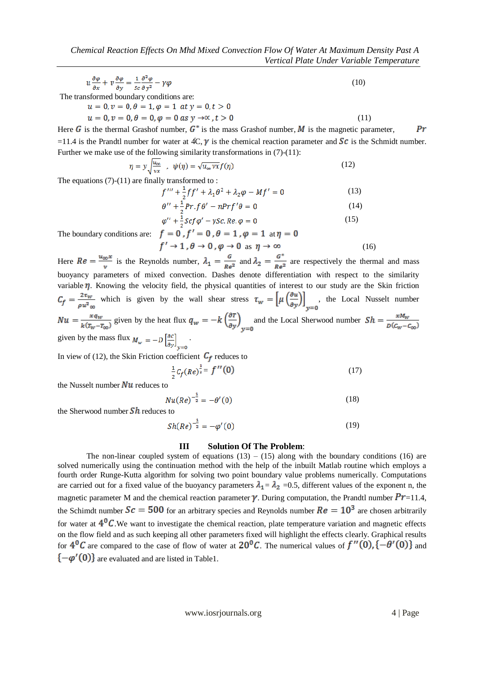$$
u\frac{\partial\varphi}{\partial x} + v\frac{\partial\varphi}{\partial y} = \frac{1}{sc}\frac{\partial^2\varphi}{\partial y^2} - \gamma\varphi
$$
\n(10)

The transformed boundary conditions are:

 $u = 0, v = 0, \theta = 1, \varphi = 1$  at  $y = 0, t > 0$  $u = 0, v = 0, \theta = 0, \varphi = 0 \text{ as } y \to \infty, t > 0$  (11)

Here G is the thermal Grashof number,  $G^*$  is the mass Grashof number, M is the magnetic parameter,  $Pr$ =11.4 is the Prandtl number for water at  $AC, \gamma$  is the chemical reaction parameter and  $Sc$  is the Schmidt number. Further we make use of the following similarity transformations in (7)-(11):

$$
\eta = y \sqrt{\frac{u_{\infty}}{vx}} \quad , \quad \psi(\eta) = \sqrt{u_{\infty}vx} f(\eta) \tag{12}
$$

The equations  $(7)-(11)$  are finally transformed to :

$$
f''' + \frac{1}{2}ff' + \lambda_1\theta^2 + \lambda_2\varphi - Mf' = 0
$$
 (13)  

$$
\theta'' + \frac{1}{2}Pr.f\theta' - nPrf'\theta = 0
$$
 (14)

$$
\varphi^{\prime\prime} + \frac{1}{2} Scf \varphi^{\prime} - \gamma Sc. Re. \varphi = 0 \tag{15}
$$

The boundary conditions are:  $f = 0$ ,  $f' = 0$ ,  $\theta = 1$ ,  $\varphi = 1$  at  $f' \rightarrow 1$ ,

$$
(\theta \to 0, \varphi \to 1, \varphi \to 1 \text{ at } \eta = 0
$$
  

$$
(\theta \to 0, \varphi \to 0 \text{ as } \eta \to \infty)
$$
 (16)

Here  $Re = \frac{u_{\infty}x}{v}$  is the Reynolds number,  $\lambda_1 = \frac{G}{Re^2}$  and  $\lambda_2 = \frac{G^*}{Re^2}$  are respectively the thermal and mass buoyancy parameters of mixed convection. Dashes denote differentiation with respect to the similarity variable  $\eta$ . Knowing the velocity field, the physical quantities of interest to our study are the Skin friction  $C_f = \frac{2\tau_w}{\rho u^2_{\infty}}$  which is given by the wall shear stress  $\tau_w = \left[\mu \left(\frac{\partial u}{\partial y}\right)\right]_{y=0}$ , the Local Nusselt number  $Nu = \frac{xq_w}{k(T_w - T_{\infty})}$  given by the heat flux  $q_w = -k \left(\frac{\partial T}{\partial y}\right)_{y=0}$  and the Local Sherwood number  $Sh = \frac{xM_w}{D(C_w - C_w)}$ given by the mass flux  $M_w = -D \left[ \frac{\partial c}{\partial v} \right]$ .

In view of (12), the Skin Friction coefficient  $C_f$  reduces to

$$
\frac{1}{2}C_f(Re)^{\frac{1}{2}} = f''(0)
$$
 (17)

the Nusselt number  $\overline{Nu}$  reduces to

$$
Nu(Re)^{-\frac{1}{2}} = -\theta'(0) \tag{18}
$$

the Sherwood number  $\mathcal{S}h$  reduces to

$$
Sh(Re)^{-\frac{1}{2}} = -\varphi'(0) \tag{19}
$$

## **III Solution Of The Problem**:

The non-linear coupled system of equations  $(13) - (15)$  along with the boundary conditions  $(16)$  are solved numerically using the continuation method with the help of the inbuilt Matlab routine which employs a fourth order Runge-Kutta algorithm for solving two point boundary value problems numerically. Computations are carried out for a fixed value of the buoyancy parameters  $\lambda_1 = \lambda_2 = 0.5$ , different values of the exponent n, the magnetic parameter M and the chemical reaction parameter  $\gamma$ . During computation, the Prandtl number  $Pr=11.4$ , the Schimdt number  $Sc = 500$  for an arbitrary species and Reynolds number  $Re = 10<sup>3</sup>$  are chosen arbitrarily for water at  $4^{0}$ C. We want to investigate the chemical reaction, plate temperature variation and magnetic effects on the flow field and as such keeping all other parameters fixed will highlight the effects clearly. Graphical results for  $4^0C$  are compared to the case of flow of water at  $20^0C$ . The numerical values of  $f''(0), \{-\theta'(0)\}$  and  $\{-\varphi'(0)\}\$ are evaluated and are listed in Table1.

www.iosrjournals.org 4 | Page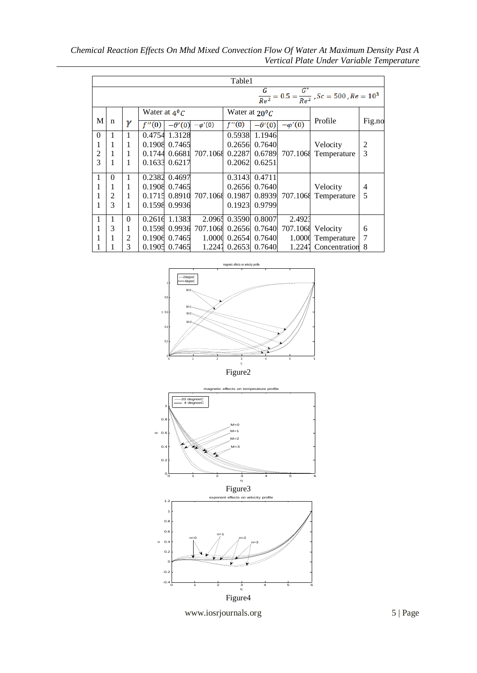*Chemical Reaction Effects On Mhd Mixed Convection Flow Of Water At Maximum Density Past A Vertical Plate Under Variable Temperature*

| Table1                                                                                |          |                |                 |               |                |                  |                 |                |               |                |
|---------------------------------------------------------------------------------------|----------|----------------|-----------------|---------------|----------------|------------------|-----------------|----------------|---------------|----------------|
| $\frac{\overline{G}}{Re^2} = 0.5 = \frac{G^*}{Re^2}$ , Sc = 500, Re = 10 <sup>3</sup> |          |                |                 |               |                |                  |                 |                |               |                |
|                                                                                       |          |                | Water at $4^0C$ |               |                | Water at $20^0C$ |                 |                |               |                |
| M                                                                                     | n        | γ              | (0)             | $-\theta'(0)$ | $-\varphi'(0)$ | f''(0)           | $-\theta'(0)$   | $-\varphi'(0)$ | Profile       | Fig.no         |
| $\Omega$                                                                              | 1        | 1              | 0.4754          | 1.3128        |                | 0.5938           | 1.1946          |                |               |                |
| 1                                                                                     | 1        | 1              | 0.1908          | 0.7465        |                |                  | 0.2656 0.7640   |                | Velocity      | $\overline{c}$ |
| 2                                                                                     |          | 1              | 0.1744          | 0.6681        | 707.1068       | 0.2287           | 0.6789          | 707.1068       | Temperature   | 3              |
| 3                                                                                     |          | 1              | 0.1633          | 0.6217        |                | 0.2062           | 0.6251          |                |               |                |
| 1                                                                                     | $\Omega$ | 1              | 0.2382          | 0.4697        |                | 0.3143           | 0.4711          |                |               |                |
|                                                                                       | 1        | 1              | 0.1908          | 0.7465        |                |                  | 0.2656 0.7640   |                | Velocity      | $\overline{4}$ |
| 1                                                                                     | 2        | 1              | 0.1715          | 0.8910        | 707.1068       | 0.1987           | 0.8939          | 707.1068       | Temperature   | 5              |
|                                                                                       | 3        | 1              | 0.1598          | 0.9936        |                | 0.1923           | 0.9799          |                |               |                |
| 1                                                                                     | 1        | $\theta$       | 0.2616          | 1.1383        | 2.0965         | 0.3590           | 0.8007          | 2.4923         |               |                |
|                                                                                       | 3        | 1              | 0.1598          | 0.9936        | 707.1068       |                  | 0.2656 0.7640   | 707.1068       | Velocity      | 6              |
|                                                                                       |          | $\overline{2}$ | 0.1906          | 0.7465        | 1.0000         |                  | $0.2654$ 0.7640 | 1.0000         | Temperature   | 7              |
|                                                                                       |          | 3              | 0.1905          | 0.7465        | 1.2247         | 0.2653           | 0.7640          | 1.2247         | Concentration | 8              |







www.iosrjournals.org 5 | Page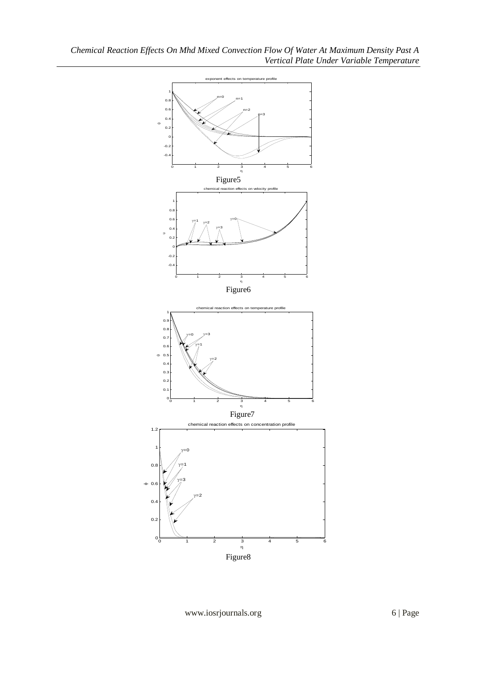

www.iosrjournals.org 6 | Page